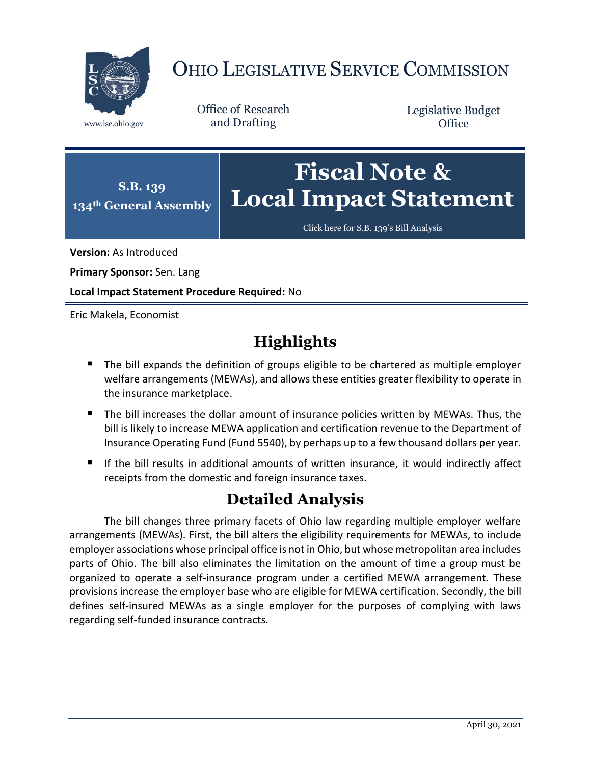

## OHIO LEGISLATIVE SERVICE COMMISSION

Office of Research www.lsc.ohio.gov and Drafting

Legislative Budget **Office** 



[Click here for S.B. 139](https://www.legislature.ohio.gov/legislation/legislation-documents?id=GA134-SB-139)'s Bill Analysis

**Version:** As Introduced

**Primary Sponsor:** Sen. Lang

**Local Impact Statement Procedure Required:** No

Eric Makela, Economist

## **Highlights**

- The bill expands the definition of groups eligible to be chartered as multiple employer welfare arrangements (MEWAs), and allows these entities greater flexibility to operate in the insurance marketplace.
- The bill increases the dollar amount of insurance policies written by MEWAs. Thus, the bill is likely to increase MEWA application and certification revenue to the Department of Insurance Operating Fund (Fund 5540), by perhaps up to a few thousand dollars per year.
- If the bill results in additional amounts of written insurance, it would indirectly affect receipts from the domestic and foreign insurance taxes.

## **Detailed Analysis**

The bill changes three primary facets of Ohio law regarding multiple employer welfare arrangements (MEWAs). First, the bill alters the eligibility requirements for MEWAs, to include employer associations whose principal office is not in Ohio, but whose metropolitan area includes parts of Ohio. The bill also eliminates the limitation on the amount of time a group must be organized to operate a self-insurance program under a certified MEWA arrangement. These provisions increase the employer base who are eligible for MEWA certification. Secondly, the bill defines self-insured MEWAs as a single employer for the purposes of complying with laws regarding self-funded insurance contracts.